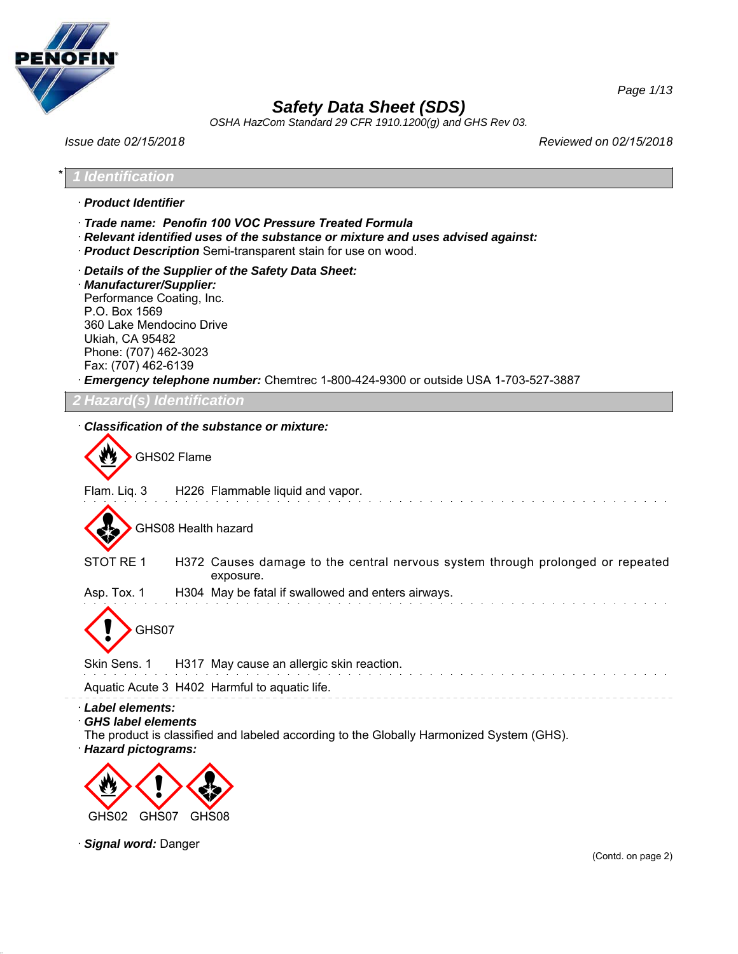

*OSHA HazCom Standard 29 CFR 1910.1200(g) and GHS Rev 03.*

*Issue date 02/15/2018 Reviewed on 02/15/2018*

*Page 1/13*

\* *1 Identification* · *Product Identifier* · *Trade name: Penofin 100 VOC Pressure Treated Formula* · *Relevant identified uses of the substance or mixture and uses advised against:* · *Product Description* Semi-transparent stain for use on wood. · *Details of the Supplier of the Safety Data Sheet:* · *Manufacturer/Supplier:* Performance Coating, Inc. P.O. Box 1569 360 Lake Mendocino Drive Ukiah, CA 95482 Phone: (707) 462-3023 Fax: (707) 462-6139 · *Emergency telephone number:* Chemtrec 1-800-424-9300 or outside USA 1-703-527-3887 *2 Hazard(s) Identification* · *Classification of the substance or mixture:* GHS02 Flame Flam. Liq. 3 H226 Flammable liquid and vapor. GHS08 Health hazard STOT RE 1 H372 Causes damage to the central nervous system through prolonged or repeated exposure. Asp. Tox. 1 H304 May be fatal if swallowed and enters airways. GHS07 Skin Sens. 1 H317 May cause an allergic skin reaction. Aquatic Acute 3 H402 Harmful to aquatic life. · *Label elements:* · *GHS label elements* The product is classified and labeled according to the Globally Harmonized System (GHS). · *Hazard pictograms:* < GHS02 GHS07  $\langle \cdot \rangle$  $\Leftrightarrow$ GHS08

· *Signal word:* Danger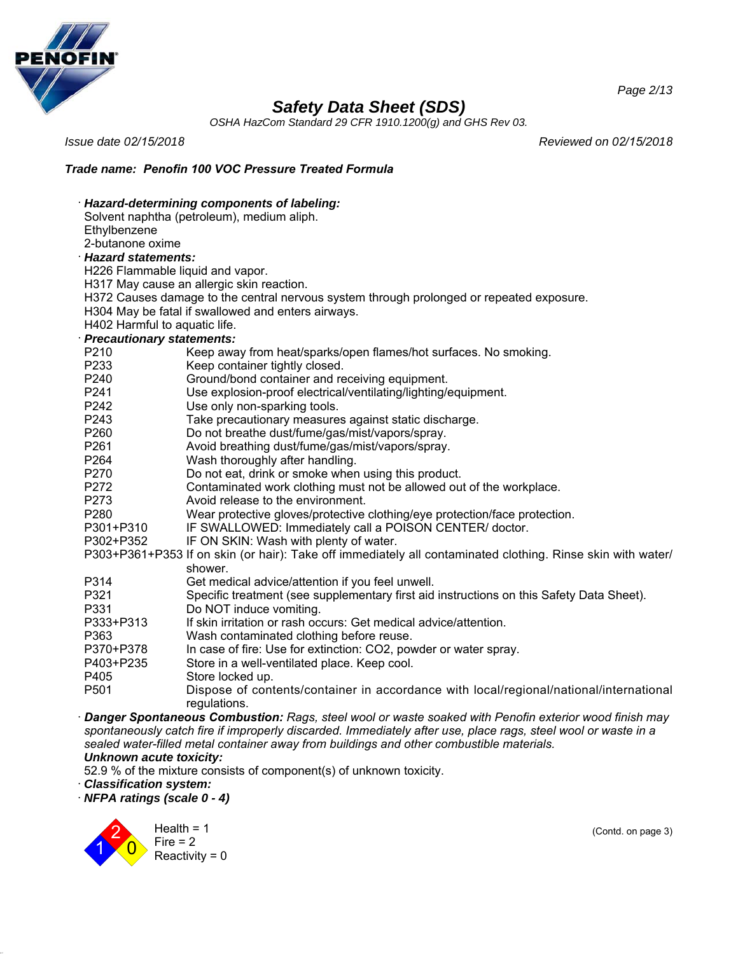

*OSHA HazCom Standard 29 CFR 1910.1200(g) and GHS Rev 03.*

*Issue date 02/15/2018 Reviewed on 02/15/2018*

## *Trade name: Penofin 100 VOC Pressure Treated Formula*

|                                  | Hazard-determining components of labeling:                                                                                                                                                                             |  |  |
|----------------------------------|------------------------------------------------------------------------------------------------------------------------------------------------------------------------------------------------------------------------|--|--|
|                                  | Solvent naphtha (petroleum), medium aliph.                                                                                                                                                                             |  |  |
| Ethylbenzene                     |                                                                                                                                                                                                                        |  |  |
|                                  | 2-butanone oxime                                                                                                                                                                                                       |  |  |
| <b>Hazard statements:</b>        |                                                                                                                                                                                                                        |  |  |
| H226 Flammable liquid and vapor. |                                                                                                                                                                                                                        |  |  |
|                                  | H317 May cause an allergic skin reaction.                                                                                                                                                                              |  |  |
|                                  | H372 Causes damage to the central nervous system through prolonged or repeated exposure.                                                                                                                               |  |  |
|                                  | H304 May be fatal if swallowed and enters airways.                                                                                                                                                                     |  |  |
| H402 Harmful to aquatic life.    |                                                                                                                                                                                                                        |  |  |
| <b>Precautionary statements:</b> |                                                                                                                                                                                                                        |  |  |
| P210                             | Keep away from heat/sparks/open flames/hot surfaces. No smoking.                                                                                                                                                       |  |  |
| P233                             | Keep container tightly closed.                                                                                                                                                                                         |  |  |
| P240                             | Ground/bond container and receiving equipment.                                                                                                                                                                         |  |  |
| P241                             | Use explosion-proof electrical/ventilating/lighting/equipment.                                                                                                                                                         |  |  |
| P242                             | Use only non-sparking tools.                                                                                                                                                                                           |  |  |
| P243                             | Take precautionary measures against static discharge.                                                                                                                                                                  |  |  |
| P <sub>260</sub>                 | Do not breathe dust/fume/gas/mist/vapors/spray.                                                                                                                                                                        |  |  |
| P261                             | Avoid breathing dust/fume/gas/mist/vapors/spray.                                                                                                                                                                       |  |  |
| P264                             | Wash thoroughly after handling.                                                                                                                                                                                        |  |  |
| P270                             | Do not eat, drink or smoke when using this product.                                                                                                                                                                    |  |  |
| P272                             | Contaminated work clothing must not be allowed out of the workplace.                                                                                                                                                   |  |  |
| P273                             | Avoid release to the environment.                                                                                                                                                                                      |  |  |
| P280                             | Wear protective gloves/protective clothing/eye protection/face protection.                                                                                                                                             |  |  |
| P301+P310                        | IF SWALLOWED: Immediately call a POISON CENTER/ doctor.                                                                                                                                                                |  |  |
| P302+P352                        | IF ON SKIN: Wash with plenty of water.                                                                                                                                                                                 |  |  |
|                                  | P303+P361+P353 If on skin (or hair): Take off immediately all contaminated clothing. Rinse skin with water/<br>shower.                                                                                                 |  |  |
| P314                             | Get medical advice/attention if you feel unwell.                                                                                                                                                                       |  |  |
| P321                             | Specific treatment (see supplementary first aid instructions on this Safety Data Sheet).                                                                                                                               |  |  |
| P331                             | Do NOT induce vomiting.                                                                                                                                                                                                |  |  |
| P333+P313                        | If skin irritation or rash occurs: Get medical advice/attention.                                                                                                                                                       |  |  |
| P363                             | Wash contaminated clothing before reuse.                                                                                                                                                                               |  |  |
| P370+P378                        | In case of fire: Use for extinction: CO2, powder or water spray.                                                                                                                                                       |  |  |
| P403+P235                        | Store in a well-ventilated place. Keep cool.                                                                                                                                                                           |  |  |
| P405                             | Store locked up.                                                                                                                                                                                                       |  |  |
| P501                             | Dispose of contents/container in accordance with local/regional/national/international<br>regulations.                                                                                                                 |  |  |
|                                  | Danger Spontaneous Combustion: Rags, steel wool or waste soaked with Penofin exterior wood finish may<br>ish catalogue if incompanies disponded becaused distributed as a service and the class of the contract in the |  |  |

*spontaneously catch fire if improperly discarded. Immediately after use, place rags, steel wool or waste in a sealed water-filled metal container away from buildings and other combustible materials. Unknown acute toxicity:*

52.9 % of the mixture consists of component(s) of unknown toxicity.

· *Classification system:*

· *NFPA ratings (scale 0 - 4)*



(Contd. on page 3)

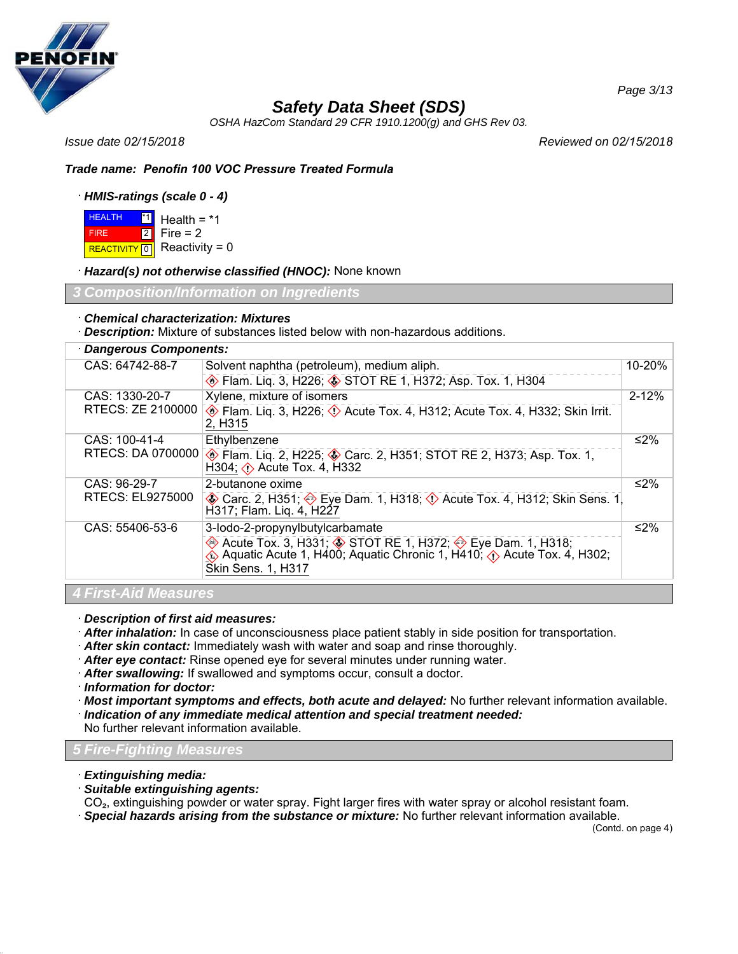

*OSHA HazCom Standard 29 CFR 1910.1200(g) and GHS Rev 03.*

*Issue date 02/15/2018 Reviewed on 02/15/2018*

## *Trade name: Penofin 100 VOC Pressure Treated Formula*

## · *HMIS-ratings (scale 0 - 4)*

**HEALTH**  FIRE REACTIVITY  $\boxed{0}$  Reactivity = 0 <u>\*1</u> Health = \*1 2 Fire = 2

· *Hazard(s) not otherwise classified (HNOC):* None known

*Information on Ingredie* 

### · *Chemical characterization: Mixtures*

· *Description:* Mixture of substances listed below with non-hazardous additions.

## · *Dangerous Components:*

| CAS: 64742-88-7             | Solvent naphtha (petroleum), medium aliph.                                                                                                                                                | 10-20%    |
|-----------------------------|-------------------------------------------------------------------------------------------------------------------------------------------------------------------------------------------|-----------|
|                             | Elam. Liq. 3, H226; STOT RE 1, H372; Asp. Tox. 1, H304                                                                                                                                    |           |
| CAS: 1330-20-7              | Xylene, mixture of isomers                                                                                                                                                                | $2 - 12%$ |
| RTECS: ZE 2100000           | Flam. Liq. 3, H226; $\Diamond$ Acute Tox. 4, H312; Acute Tox. 4, H332; Skin Irrit.<br>2, H <sub>3</sub> 15                                                                                |           |
| CAS: 100-41-4               | Ethylbenzene                                                                                                                                                                              | ≤2%       |
| RTECS: DA 0700000           | Flam. Liq. 2, H225; Starc. 2, H351; STOT RE 2, H373; Asp. Tox. 1,<br>H304; $\diamond$ Acute Tox. 4, H332                                                                                  |           |
| CAS: 96-29-7                | 2-butanone oxime                                                                                                                                                                          | ≤2%       |
| RTECS: EL9275000            | <b>A</b> Carc. 2, H351; �� Eye Dam. 1, H318; <b>①</b> Acute Tox. 4, H312; Skin Sens. 1<br>H317; Flam. Lig. 4, H227                                                                        |           |
| CAS: 55406-53-6             | 3-lodo-2-propynylbutylcarbamate                                                                                                                                                           | ≤2%       |
|                             | Acute Tox. 3, H331; STOT RE 1, H372; Sue Dam. 1, H318;<br>$\hat{\textbf{Q}}$ Aquatic Acute 1, H400; Aquatic Chronic 1, H410; $\hat{\textbf{Q}}$ Acute Tox. 4, H302;<br>Skin Sens. 1, H317 |           |
| <b>4 First-Aid Measures</b> |                                                                                                                                                                                           |           |

· *Description of first aid measures:*

- · *After inhalation:* In case of unconsciousness place patient stably in side position for transportation.
- · *After skin contact:* Immediately wash with water and soap and rinse thoroughly.
- · *After eye contact:* Rinse opened eye for several minutes under running water.
- · *After swallowing:* If swallowed and symptoms occur, consult a doctor.
- · *Information for doctor:*
- · *Most important symptoms and effects, both acute and delayed:* No further relevant information available.
- · *Indication of any immediate medical attention and special treatment needed:*

No further relevant information available.

## *5 Fire-Fighting Measures*

- · *Extinguishing media:*
- · *Suitable extinguishing agents:*

CO₂, extinguishing powder or water spray. Fight larger fires with water spray or alcohol resistant foam. · *Special hazards arising from the substance or mixture:* No further relevant information available.

(Contd. on page 4)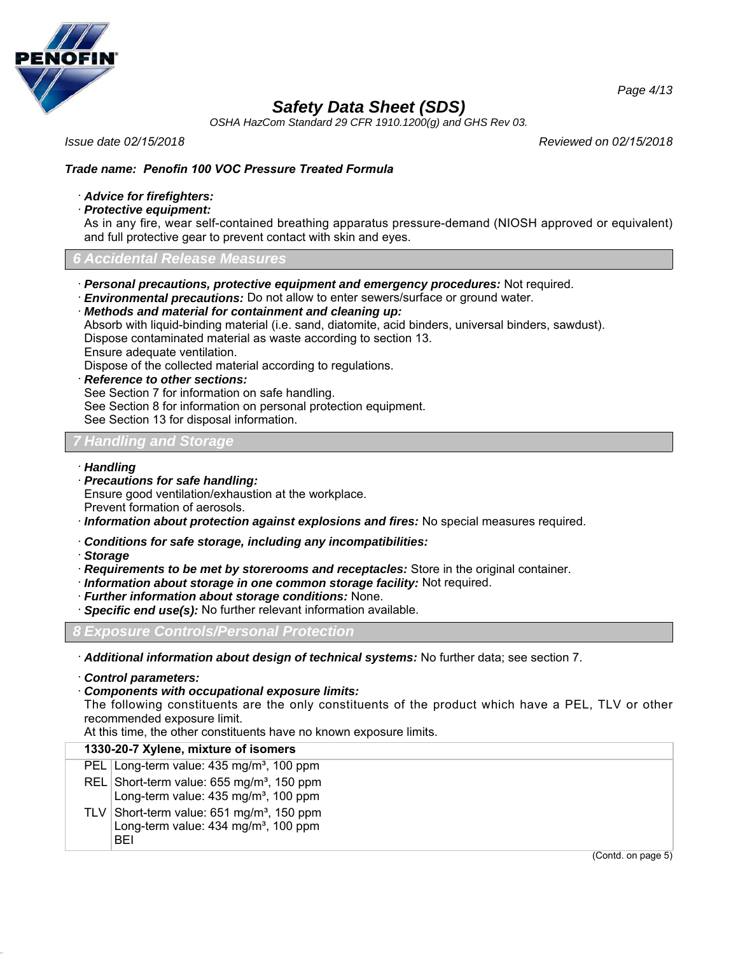

*OSHA HazCom Standard 29 CFR 1910.1200(g) and GHS Rev 03.*

*Issue date 02/15/2018 Reviewed on 02/15/2018*

## *Trade name: Penofin 100 VOC Pressure Treated Formula*

#### · *Advice for firefighters:*

· *Protective equipment:*

As in any fire, wear self-contained breathing apparatus pressure-demand (NIOSH approved or equivalent) and full protective gear to prevent contact with skin and eyes.

### *6 Accidental Release Measures*

· *Personal precautions, protective equipment and emergency procedures:* Not required.

· *Environmental precautions:* Do not allow to enter sewers/surface or ground water.

· *Methods and material for containment and cleaning up:*

Absorb with liquid-binding material (i.e. sand, diatomite, acid binders, universal binders, sawdust).

Dispose contaminated material as waste according to section 13.

Ensure adequate ventilation.

Dispose of the collected material according to regulations.

· *Reference to other sections:*

See Section 7 for information on safe handling.

See Section 8 for information on personal protection equipment.

See Section 13 for disposal information.

### *7 Handling and Storage*

#### · *Handling*

· *Precautions for safe handling:* Ensure good ventilation/exhaustion at the workplace. Prevent formation of aerosols.

· *Information about protection against explosions and fires:* No special measures required.

- · *Conditions for safe storage, including any incompatibilities:*
- · *Storage*
- · *Requirements to be met by storerooms and receptacles:* Store in the original container.
- · *Information about storage in one common storage facility:* Not required.
- · *Further information about storage conditions:* None.
- · *Specific end use(s):* No further relevant information available.

*8 Exposure Controls/Personal Protection*

· *Additional information about design of technical systems:* No further data; see section 7.

· *Control parameters:*

#### · *Components with occupational exposure limits:*

The following constituents are the only constituents of the product which have a PEL, TLV or other recommended exposure limit.

At this time, the other constituents have no known exposure limits.

### **1330-20-7 Xylene, mixture of isomers**

| PEL Long-term value: 435 mg/m <sup>3</sup> , 100 ppm                                                            |
|-----------------------------------------------------------------------------------------------------------------|
| REL Short-term value: 655 mg/m <sup>3</sup> , 150 ppm<br>Long-term value: 435 mg/m <sup>3</sup> , 100 ppm       |
| TLV Short-term value: $651 \text{ mg/m}^3$ , 150 ppm<br>Long-term value: 434 mg/m <sup>3</sup> , 100 ppm<br>RFI |

(Contd. on page 5)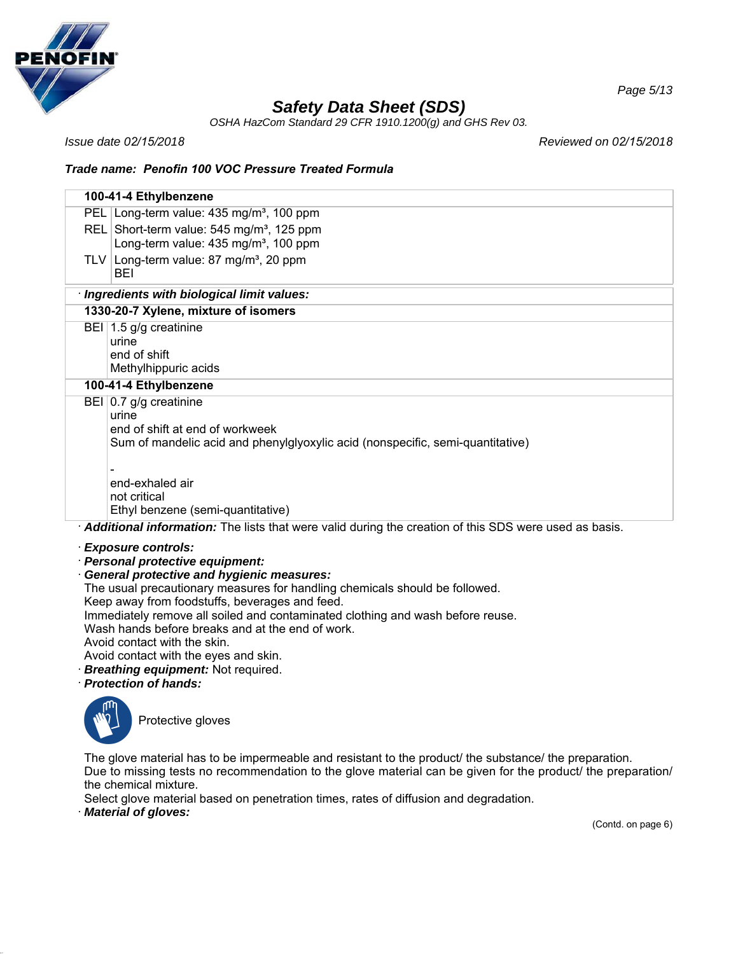

*OSHA HazCom Standard 29 CFR 1910.1200(g) and GHS Rev 03.*

*Issue date 02/15/2018 Reviewed on 02/15/2018*

## *Trade name: Penofin 100 VOC Pressure Treated Formula*

| 100-41-4 Ethylbenzene                                                                                 |  |
|-------------------------------------------------------------------------------------------------------|--|
|                                                                                                       |  |
| PEL Long-term value: 435 mg/m <sup>3</sup> , 100 ppm                                                  |  |
| REL Short-term value: 545 mg/m <sup>3</sup> , 125 ppm                                                 |  |
| Long-term value: 435 mg/m <sup>3</sup> , 100 ppm                                                      |  |
| TLV Long-term value: 87 mg/m <sup>3</sup> , 20 ppm                                                    |  |
| BEI                                                                                                   |  |
| · Ingredients with biological limit values:                                                           |  |
| 1330-20-7 Xylene, mixture of isomers                                                                  |  |
| BEI 1.5 g/g creatinine                                                                                |  |
| urine                                                                                                 |  |
| end of shift                                                                                          |  |
| Methylhippuric acids                                                                                  |  |
| 100-41-4 Ethylbenzene                                                                                 |  |
| BEI $ 0.7 $ g/g creatinine                                                                            |  |
| urine                                                                                                 |  |
| end of shift at end of workweek                                                                       |  |
| Sum of mandelic acid and phenylglyoxylic acid (nonspecific, semi-quantitative)                        |  |
|                                                                                                       |  |
| end-exhaled air                                                                                       |  |
| not critical                                                                                          |  |
| Ethyl benzene (semi-quantitative)                                                                     |  |
| Additional information: The lists that were valid during the creation of this SDS were used as basis. |  |
|                                                                                                       |  |
| <b>Exposure controls:</b>                                                                             |  |
| · Personal protective equipment:                                                                      |  |
| <b>General protective and hygienic measures:</b>                                                      |  |
| The usual precautionary measures for handling chemicals should be followed.                           |  |
| Keep away from foodstuffs, beverages and feed.                                                        |  |

Immediately remove all soiled and contaminated clothing and wash before reuse.

Wash hands before breaks and at the end of work.

Avoid contact with the skin.

- Avoid contact with the eyes and skin.
- · *Breathing equipment:* Not required.
- · *Protection of hands:*



Protective gloves

The glove material has to be impermeable and resistant to the product/ the substance/ the preparation. Due to missing tests no recommendation to the glove material can be given for the product/ the preparation/ the chemical mixture.

Select glove material based on penetration times, rates of diffusion and degradation.

· *Material of gloves:*

(Contd. on page 6)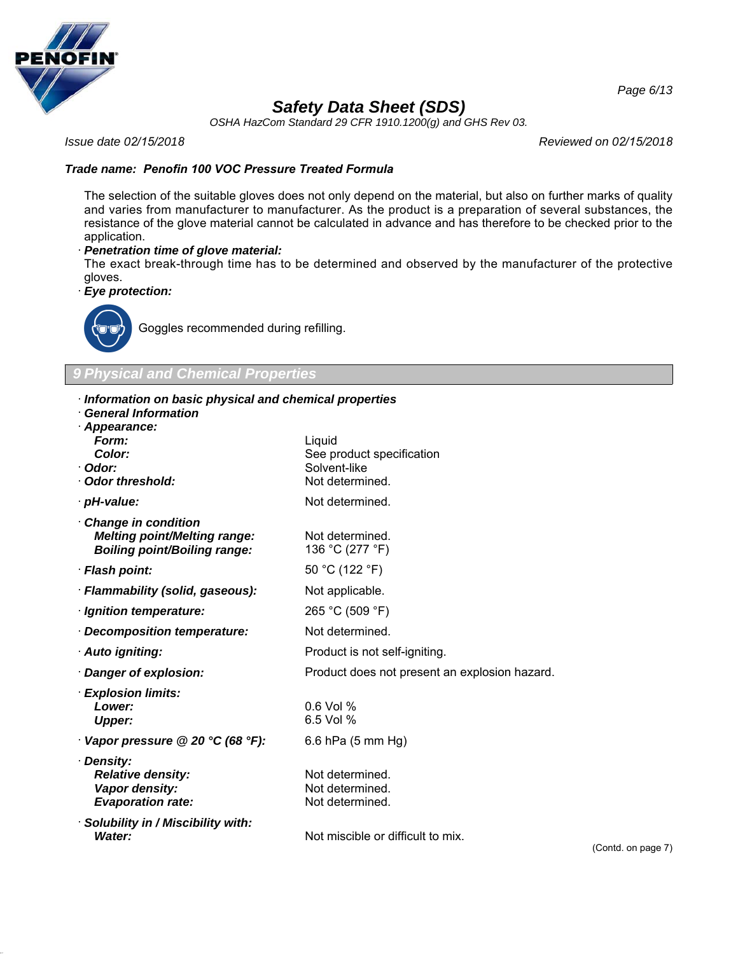

*OSHA HazCom Standard 29 CFR 1910.1200(g) and GHS Rev 03.*

*Issue date 02/15/2018 Reviewed on 02/15/2018*

## *Trade name: Penofin 100 VOC Pressure Treated Formula*

The selection of the suitable gloves does not only depend on the material, but also on further marks of quality and varies from manufacturer to manufacturer. As the product is a preparation of several substances, the resistance of the glove material cannot be calculated in advance and has therefore to be checked prior to the application.

#### · *Penetration time of glove material:*

The exact break-through time has to be determined and observed by the manufacturer of the protective gloves.

· *Eye protection:*



Goggles recommended during refilling.

*9 Physical and Chemical Properties*

#### · *Information on basic physical and chemical properties*

· *General Information*

| General Information<br>· Appearance:                                                                     |                                                                        |
|----------------------------------------------------------------------------------------------------------|------------------------------------------------------------------------|
| Form:<br><b>Color:</b><br>· Odor:<br>Odor threshold:                                                     | Liquid<br>See product specification<br>Solvent-like<br>Not determined. |
| · pH-value:                                                                                              | Not determined.                                                        |
| <b>Change in condition</b><br><b>Melting point/Melting range:</b><br><b>Boiling point/Boiling range:</b> | Not determined.<br>136 °C (277 °F)                                     |
| · Flash point:                                                                                           | 50 °C (122 °F)                                                         |
| · Flammability (solid, gaseous):                                                                         | Not applicable.                                                        |
| · Ignition temperature:                                                                                  | 265 °C (509 °F)                                                        |
| · Decomposition temperature:                                                                             | Not determined.                                                        |
| · Auto igniting:                                                                                         | Product is not self-igniting.                                          |
| · Danger of explosion:                                                                                   | Product does not present an explosion hazard.                          |
| · Explosion limits:<br>Lower:<br><b>Upper:</b>                                                           | $0.6$ Vol %<br>6.5 Vol %                                               |
| $\cdot$ Vapor pressure @ 20 °C (68 °F):                                                                  | 6.6 hPa (5 mm Hg)                                                      |
| · Density:<br><b>Relative density:</b><br>Vapor density:<br><b>Evaporation rate:</b>                     | Not determined.<br>Not determined.<br>Not determined.                  |
| · Solubility in / Miscibility with:<br>Water:                                                            | Not miscible or difficult to mix.                                      |

(Contd. on page 7)

*Page 6/13*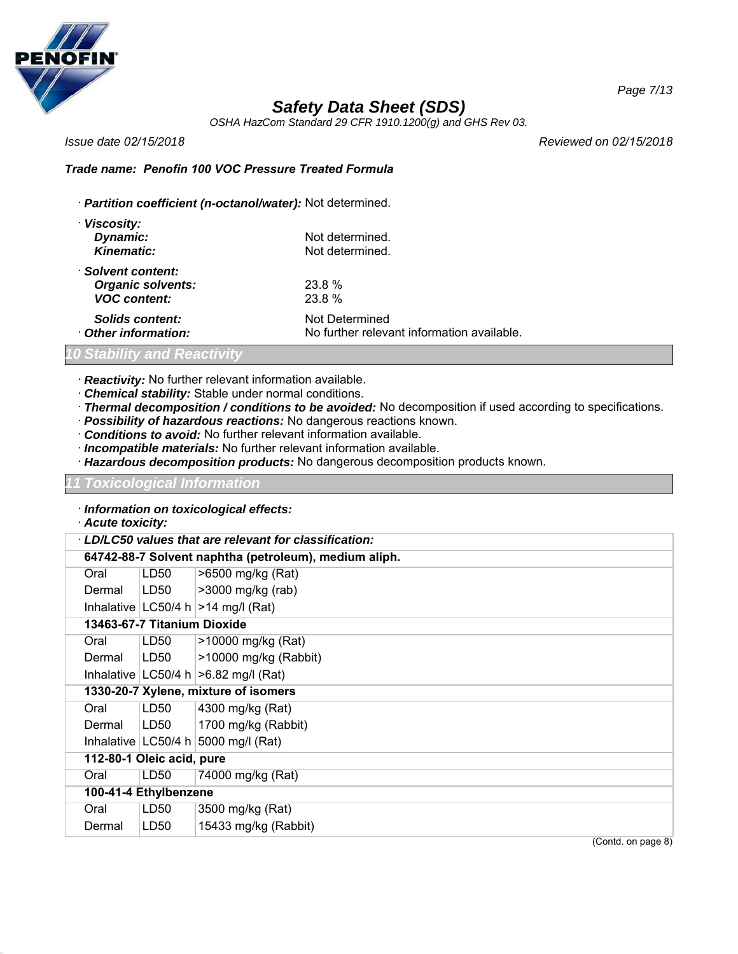

*OSHA HazCom Standard 29 CFR 1910.1200(g) and GHS Rev 03.*

*Issue date 02/15/2018 Reviewed on 02/15/2018*

### *Trade name: Penofin 100 VOC Pressure Treated Formula*

· *Partition coefficient (n-octanol/water):* Not determined.

| · Viscosity:             |                                            |
|--------------------------|--------------------------------------------|
| Dynamic:                 | Not determined.                            |
| <b>Kinematic:</b>        | Not determined.                            |
| · Solvent content:       |                                            |
| <b>Organic solvents:</b> | 23.8%                                      |
| <b>VOC content:</b>      | 23.8 %                                     |
| Solids content:          | Not Determined                             |
| Other information:       | No further relevant information available. |

## *10 Stability and Reactivity*

- · *Reactivity:* No further relevant information available.
- · *Chemical stability:* Stable under normal conditions.
- · *Thermal decomposition / conditions to be avoided:* No decomposition if used according to specifications.
- · *Possibility of hazardous reactions:* No dangerous reactions known.
- · *Conditions to avoid:* No further relevant information available.
- · *Incompatible materials:* No further relevant information available.
- · *Hazardous decomposition products:* No dangerous decomposition products known.

#### *11 Toxicological Information*

- · *Information on toxicological effects:*
- · *Acute toxicity:*

|                             |                  | LD/LC50 values that are relevant for classification:  |  |
|-----------------------------|------------------|-------------------------------------------------------|--|
|                             |                  | 64742-88-7 Solvent naphtha (petroleum), medium aliph. |  |
| Oral                        | LD <sub>50</sub> | >6500 mg/kg (Rat)                                     |  |
| Dermal                      | LD50             | >3000 mg/kg (rab)                                     |  |
|                             |                  | Inhalative   LC50/4 h $ >$ 14 mg/l (Rat)              |  |
| 13463-67-7 Titanium Dioxide |                  |                                                       |  |
| Oral                        | LD50             | >10000 mg/kg (Rat)                                    |  |
| Dermal                      | LD50             | >10000 mg/kg (Rabbit)                                 |  |
|                             |                  | Inhalative $ LG50/4 h  > 6.82 mg/l (Rat)$             |  |
|                             |                  | 1330-20-7 Xylene, mixture of isomers                  |  |
| Oral                        | LD <sub>50</sub> | 4300 mg/kg (Rat)                                      |  |
| Dermal                      | LD50             | 1700 mg/kg (Rabbit)                                   |  |
|                             |                  | Inhalative $ LC50/4 h 5000 mg/l$ (Rat)                |  |
| 112-80-1 Oleic acid, pure   |                  |                                                       |  |
| Oral                        | LD <sub>50</sub> | 74000 mg/kg (Rat)                                     |  |
| 100-41-4 Ethylbenzene       |                  |                                                       |  |
| Oral                        | LD <sub>50</sub> | 3500 mg/kg (Rat)                                      |  |
| Dermal                      | LD50             | 15433 mg/kg (Rabbit)                                  |  |
|                             |                  | (Contd. on page 8)                                    |  |

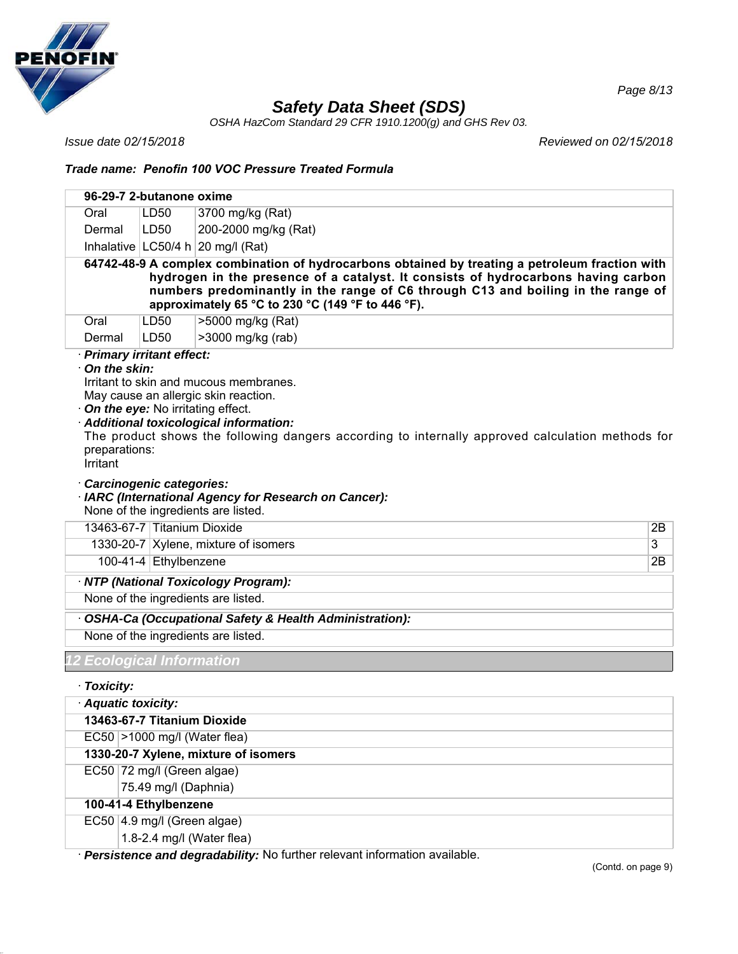

*OSHA HazCom Standard 29 CFR 1910.1200(g) and GHS Rev 03.*

*Issue date 02/15/2018 Reviewed on 02/15/2018*

*Page 8/13*

## *Trade name: Penofin 100 VOC Pressure Treated Formula*

|                                      | 96-29-7 2-butanone oxime       |                                                                                                                                                                                                                                                                                                                               |    |
|--------------------------------------|--------------------------------|-------------------------------------------------------------------------------------------------------------------------------------------------------------------------------------------------------------------------------------------------------------------------------------------------------------------------------|----|
| Oral                                 | LD50                           | 3700 mg/kg (Rat)                                                                                                                                                                                                                                                                                                              |    |
| Dermal                               | LD <sub>50</sub>               | 200-2000 mg/kg (Rat)                                                                                                                                                                                                                                                                                                          |    |
|                                      |                                | Inhalative $ LC50/4 h 20$ mg/l (Rat)                                                                                                                                                                                                                                                                                          |    |
|                                      |                                | 64742-48-9 A complex combination of hydrocarbons obtained by treating a petroleum fraction with<br>hydrogen in the presence of a catalyst. It consists of hydrocarbons having carbon<br>numbers predominantly in the range of C6 through C13 and boiling in the range of<br>approximately 65 °C to 230 °C (149 °F to 446 °F). |    |
| Oral                                 | LD50                           | >5000 mg/kg (Rat)                                                                                                                                                                                                                                                                                                             |    |
| Dermal<br>· Primary irritant effect: | LD <sub>50</sub>               | >3000 mg/kg (rab)                                                                                                                                                                                                                                                                                                             |    |
| preparations:<br>Irritant            | Carcinogenic categories:       | Irritant to skin and mucous membranes.<br>May cause an allergic skin reaction.<br>On the eye: No irritating effect.<br>Additional toxicological information:<br>The product shows the following dangers according to internally approved calculation methods for<br>· IARC (International Agency for Research on Cancer):     |    |
|                                      |                                | None of the ingredients are listed.                                                                                                                                                                                                                                                                                           |    |
|                                      | 13463-67-7 Titanium Dioxide    |                                                                                                                                                                                                                                                                                                                               | 2B |
|                                      |                                | 1330-20-7 Xylene, mixture of isomers                                                                                                                                                                                                                                                                                          | 3  |
|                                      | 100-41-4 Ethylbenzene          |                                                                                                                                                                                                                                                                                                                               | 2B |
|                                      |                                | · NTP (National Toxicology Program):                                                                                                                                                                                                                                                                                          |    |
|                                      |                                | None of the ingredients are listed.                                                                                                                                                                                                                                                                                           |    |
|                                      |                                | OSHA-Ca (Occupational Safety & Health Administration):                                                                                                                                                                                                                                                                        |    |
|                                      |                                | None of the ingredients are listed.                                                                                                                                                                                                                                                                                           |    |
|                                      | <b>Ecological Information</b>  |                                                                                                                                                                                                                                                                                                                               |    |
| · Toxicity:                          |                                |                                                                                                                                                                                                                                                                                                                               |    |
| Aquatic toxicity:                    |                                |                                                                                                                                                                                                                                                                                                                               |    |
|                                      | 13463-67-7 Titanium Dioxide    |                                                                                                                                                                                                                                                                                                                               |    |
|                                      | $EC50$ >1000 mg/l (Water flea) |                                                                                                                                                                                                                                                                                                                               |    |
|                                      |                                | 1330-20-7 Xylene, mixture of isomers                                                                                                                                                                                                                                                                                          |    |
|                                      | EC50 72 mg/l (Green algae)     |                                                                                                                                                                                                                                                                                                                               |    |
|                                      | 75.49 mg/l (Daphnia)           |                                                                                                                                                                                                                                                                                                                               |    |
|                                      | 100-41-4 Ethylbenzene          |                                                                                                                                                                                                                                                                                                                               |    |
|                                      | EC50 4.9 mg/l (Green algae)    |                                                                                                                                                                                                                                                                                                                               |    |
|                                      |                                | 1.8-2.4 mg/l (Water flea)                                                                                                                                                                                                                                                                                                     |    |

· *Persistence and degradability:* No further relevant information available.

(Contd. on page 9)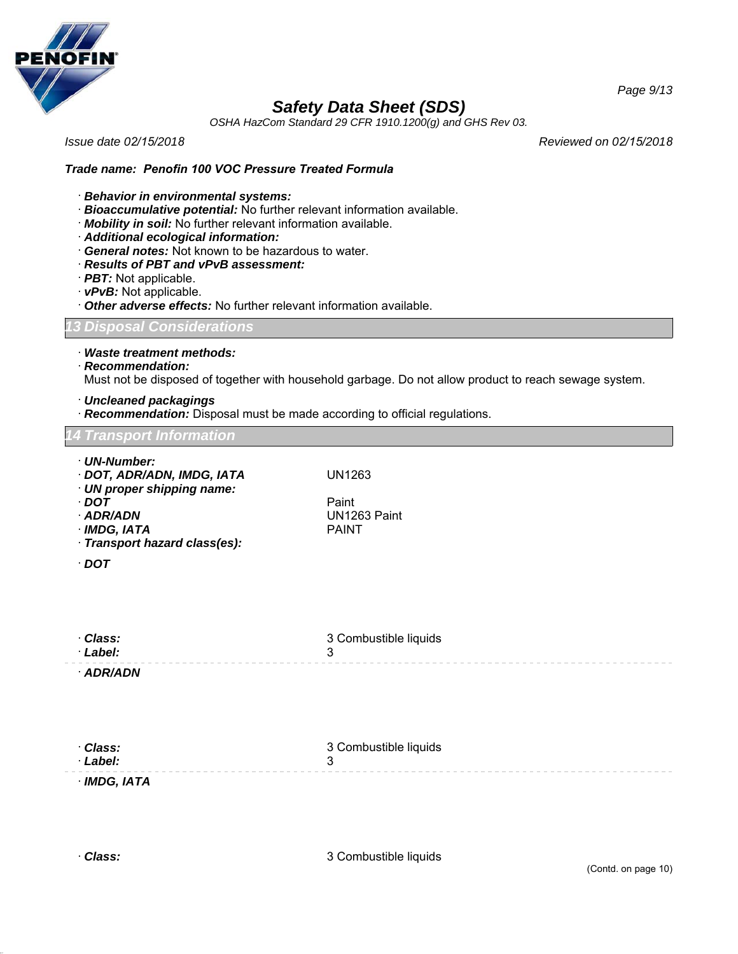

*OSHA HazCom Standard 29 CFR 1910.1200(g) and GHS Rev 03.*

*Issue date 02/15/2018 Reviewed on 02/15/2018*

*Page 9/13*

#### *Trade name: Penofin 100 VOC Pressure Treated Formula*

- · *Behavior in environmental systems:*
- · *Bioaccumulative potential:* No further relevant information available.
- · *Mobility in soil:* No further relevant information available.
- · *Additional ecological information:*
- · *General notes:* Not known to be hazardous to water.
- · *Results of PBT and vPvB assessment:*
- · *PBT:* Not applicable.
- · *vPvB:* Not applicable.
- · *Other adverse effects:* No further relevant information available.

*13 Disposal Considerations*

· *Waste treatment methods:*

· *Recommendation:*

Must not be disposed of together with household garbage. Do not allow product to reach sewage system.

- · *Uncleaned packagings*
- · *Recommendation:* Disposal must be made according to official regulations.

#### *14 Transport Information*

· *UN-Number:* · *DOT, ADR/ADN, IMDG, IATA* UN1263 · *UN proper shipping name:* · *DOT* Paint UN1263 Paint<br>PAINT  $\cdot$  *IMDG, IATA* · *Transport hazard class(es):* · *DOT* · *Class:* · *Label:* 3 Combustible liquids 3 · *ADR/ADN*

| · Class:   | 3 Combustible liquids |
|------------|-----------------------|
| · Label:   |                       |
| IMDG, IATA |                       |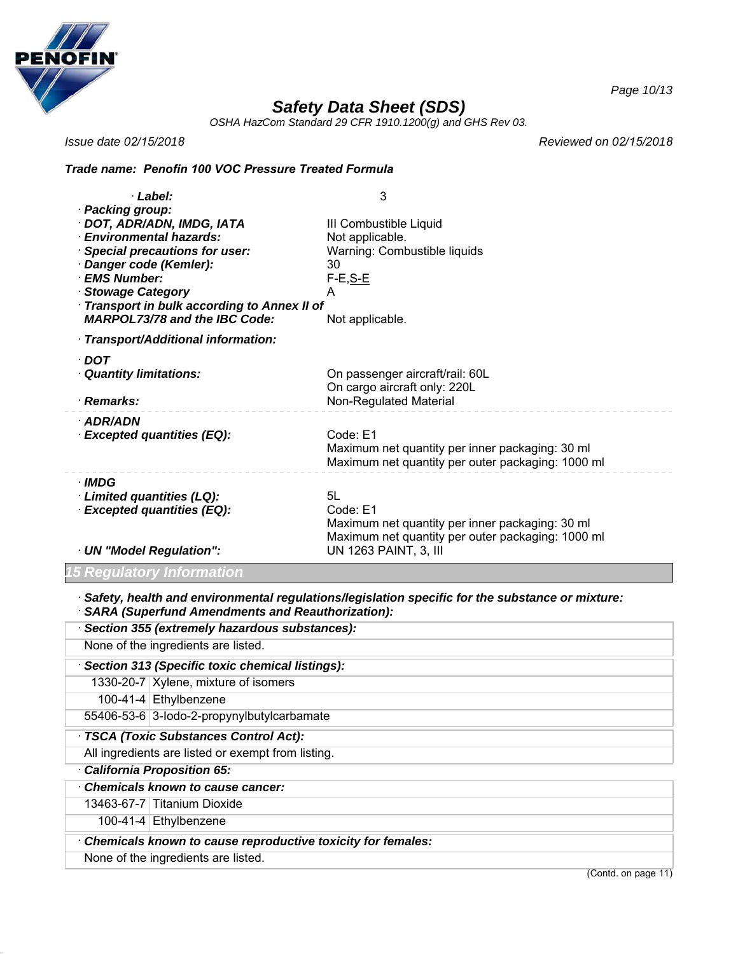

*OSHA HazCom Standard 29 CFR 1910.1200(g) and GHS Rev 03.*

*Issue date 02/15/2018*

*Reviewed on 02/15/2018*

### *Trade name: Penofin 100 VOC Pressure Treated Formula*

| · Label:                                                                                                                                                                                                                                                              | 3                                                                                                                      |
|-----------------------------------------------------------------------------------------------------------------------------------------------------------------------------------------------------------------------------------------------------------------------|------------------------------------------------------------------------------------------------------------------------|
| · Packing group:<br>· DOT, ADR/ADN, IMDG, IATA<br>· Environmental hazards:<br>· Special precautions for user:<br>· Danger code (Kemler):<br>· EMS Number:<br>· Stowage Category<br>Transport in bulk according to Annex II of<br><b>MARPOL73/78 and the IBC Code:</b> | III Combustible Liquid<br>Not applicable.<br>Warning: Combustible liquids<br>30<br>$F-E, S-E$<br>A<br>Not applicable.  |
| · Transport/Additional information:                                                                                                                                                                                                                                   |                                                                                                                        |
| · DOT<br><b>Quantity limitations:</b><br>· Remarks:                                                                                                                                                                                                                   | On passenger aircraft/rail: 60L<br>On cargo aircraft only: 220L<br>Non-Regulated Material                              |
| · ADR/ADN<br>· Excepted quantities (EQ):                                                                                                                                                                                                                              | Code: E1<br>Maximum net quantity per inner packaging: 30 ml<br>Maximum net quantity per outer packaging: 1000 ml       |
| · IMDG<br>Limited quantities (LQ):<br>· Excepted quantities (EQ):                                                                                                                                                                                                     | 5L<br>Code: E1<br>Maximum net quantity per inner packaging: 30 ml<br>Maximum net quantity per outer packaging: 1000 ml |
| · UN "Model Regulation":                                                                                                                                                                                                                                              | UN 1263 PAINT, 3, III                                                                                                  |

*15 Regulatory Information*

· *Safety, health and environmental regulations/legislation specific for the substance or mixture:*

| · SARA (Superfund Amendments and Reauthorization):          |  |  |
|-------------------------------------------------------------|--|--|
| · Section 355 (extremely hazardous substances):             |  |  |
| None of the ingredients are listed.                         |  |  |
| Section 313 (Specific toxic chemical listings):             |  |  |
| 1330-20-7   Xylene, mixture of isomers                      |  |  |
| 100-41-4 Ethylbenzene                                       |  |  |
| 55406-53-6 3-lodo-2-propynylbutylcarbamate                  |  |  |
| · TSCA (Toxic Substances Control Act):                      |  |  |
| All ingredients are listed or exempt from listing.          |  |  |
| California Proposition 65:                                  |  |  |
| Chemicals known to cause cancer:                            |  |  |
| 13463-67-7 Titanium Dioxide                                 |  |  |
| 100-41-4 $ Ethylbenzene$                                    |  |  |
| Chemicals known to cause reproductive toxicity for females: |  |  |
| None of the ingredients are listed.                         |  |  |

(Contd. on page 11)

*Page 10/13*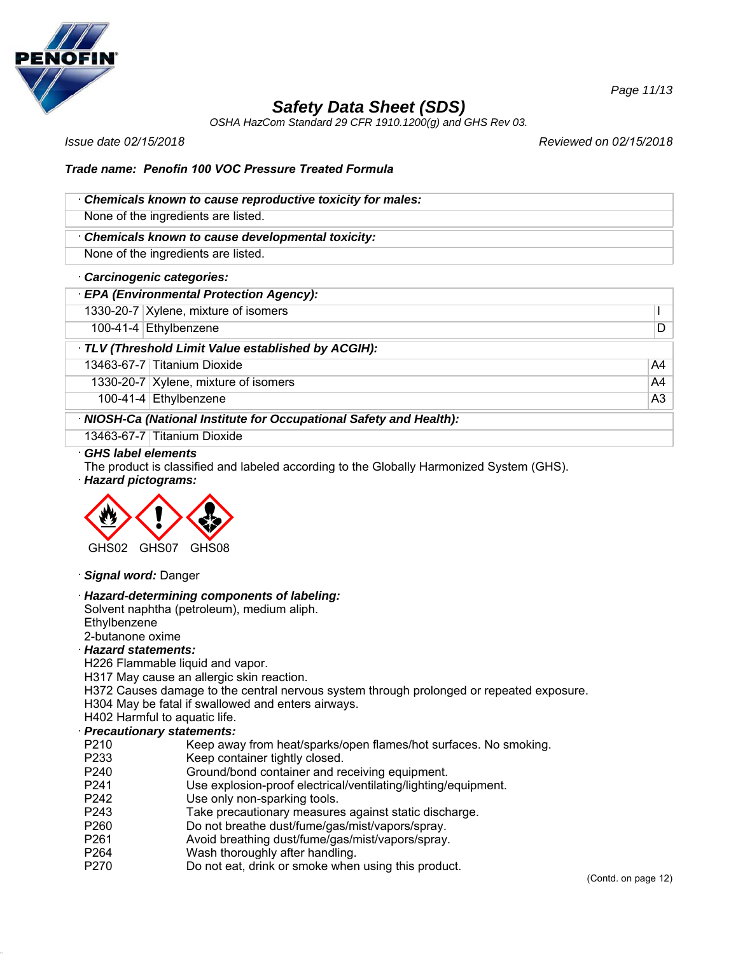

*OSHA HazCom Standard 29 CFR 1910.1200(g) and GHS Rev 03.*

*Issue date 02/15/2018 Reviewed on 02/15/2018*

### *Trade name: Penofin 100 VOC Pressure Treated Formula*

| Chemicals known to cause reproductive toxicity for males: |
|-----------------------------------------------------------|
| None of the ingredients are listed.                       |
| Chemicals known to cause developmental toxicity:          |

None of the ingredients are listed.

#### · *Carcinogenic categories:*

## · *EPA (Environmental Protection Agency):*

1330-20-7 Xylene, mixture of isomers I

100-41-4 Ethylbenzene D

### · *TLV (Threshold Limit Value established by ACGIH):*

13463-67-7 Titanium Dioxide A4

1330-20-7 Xylene, mixture of isomers A4

100-41-4 Ethylbenzene A3

#### · *NIOSH-Ca (National Institute for Occupational Safety and Health):*

13463-67-7 Titanium Dioxide

#### · *GHS label elements*

The product is classified and labeled according to the Globally Harmonized System (GHS).

· *Hazard pictograms:*



#### · *Signal word:* Danger

### · *Hazard-determining components of labeling:*

Solvent naphtha (petroleum), medium aliph. **Ethylbenzene** 

## 2-butanone oxime

## · *Hazard statements:*

H226 Flammable liquid and vapor.

H317 May cause an allergic skin reaction.

H372 Causes damage to the central nervous system through prolonged or repeated exposure.

H304 May be fatal if swallowed and enters airways.

## H402 Harmful to aquatic life.

## · *Precautionary statements:*

- P210 Keep away from heat/sparks/open flames/hot surfaces. No smoking.
- P233 Keep container tightly closed.
- P240 Ground/bond container and receiving equipment.
- P241 Use explosion-proof electrical/ventilating/lighting/equipment.
- P242 Use only non-sparking tools.
- P243 Take precautionary measures against static discharge.
- P260 Do not breathe dust/fume/gas/mist/vapors/spray.
- P261 Avoid breathing dust/fume/gas/mist/vapors/spray.
- P264 Wash thoroughly after handling.
- P270 Do not eat, drink or smoke when using this product.

*Page 11/13*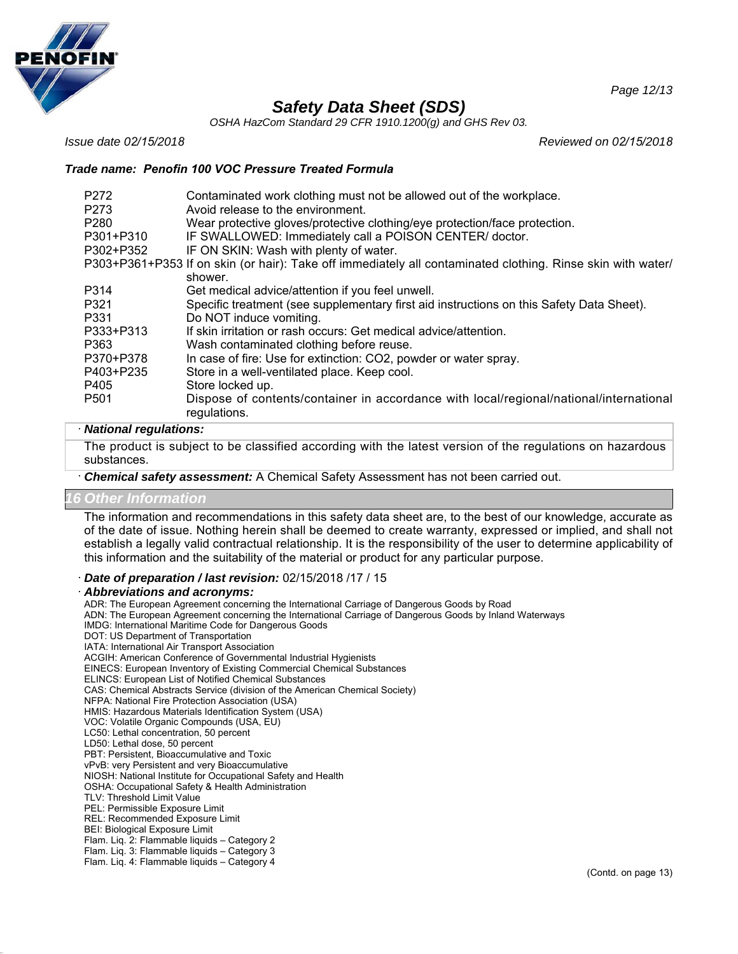

*OSHA HazCom Standard 29 CFR 1910.1200(g) and GHS Rev 03.*

*Issue date 02/15/2018 Reviewed on 02/15/2018*

### *Trade name: Penofin 100 VOC Pressure Treated Formula*

| P <sub>272</sub><br>P273 | Contaminated work clothing must not be allowed out of the workplace.<br>Avoid release to the environment.   |
|--------------------------|-------------------------------------------------------------------------------------------------------------|
| P <sub>280</sub>         | Wear protective gloves/protective clothing/eye protection/face protection.                                  |
| P301+P310                | IF SWALLOWED: Immediately call a POISON CENTER/ doctor.                                                     |
| P302+P352                | IF ON SKIN: Wash with plenty of water.                                                                      |
|                          | P303+P361+P353 If on skin (or hair): Take off immediately all contaminated clothing. Rinse skin with water/ |
|                          | shower.                                                                                                     |
| P314                     | Get medical advice/attention if you feel unwell.                                                            |
| P321                     | Specific treatment (see supplementary first aid instructions on this Safety Data Sheet).                    |
| P331                     | Do NOT induce vomiting.                                                                                     |
| P333+P313                | If skin irritation or rash occurs: Get medical advice/attention.                                            |
| P363                     | Wash contaminated clothing before reuse.                                                                    |
| P370+P378                | In case of fire: Use for extinction: CO2, powder or water spray.                                            |
| P403+P235                | Store in a well-ventilated place. Keep cool.                                                                |
| P405                     | Store locked up.                                                                                            |
| P <sub>501</sub>         | Dispose of contents/container in accordance with local/regional/national/international<br>regulations.      |

#### · *National regulations:*

The product is subject to be classified according with the latest version of the regulations on hazardous substances.

· *Chemical safety assessment:* A Chemical Safety Assessment has not been carried out.

#### *16 Other Information*

The information and recommendations in this safety data sheet are, to the best of our knowledge, accurate as of the date of issue. Nothing herein shall be deemed to create warranty, expressed or implied, and shall not establish a legally valid contractual relationship. It is the responsibility of the user to determine applicability of this information and the suitability of the material or product for any particular purpose.

· *Date of preparation / last revision:* 02/15/2018 /17 / 15

#### · *Abbreviations and acronyms:*

ADR: The European Agreement concerning the International Carriage of Dangerous Goods by Road ADN: The European Agreement concerning the International Carriage of Dangerous Goods by Inland Waterways IMDG: International Maritime Code for Dangerous Goods DOT: US Department of Transportation IATA: International Air Transport Association ACGIH: American Conference of Governmental Industrial Hygienists EINECS: European Inventory of Existing Commercial Chemical Substances ELINCS: European List of Notified Chemical Substances CAS: Chemical Abstracts Service (division of the American Chemical Society) NFPA: National Fire Protection Association (USA) HMIS: Hazardous Materials Identification System (USA) VOC: Volatile Organic Compounds (USA, EU) LC50: Lethal concentration, 50 percent LD50: Lethal dose, 50 percent PBT: Persistent, Bioaccumulative and Toxic vPvB: very Persistent and very Bioaccumulative NIOSH: National Institute for Occupational Safety and Health OSHA: Occupational Safety & Health Administration TLV: Threshold Limit Value PEL: Permissible Exposure Limit REL: Recommended Exposure Limit BEI: Biological Exposure Limit Flam. Liq. 2: Flammable liquids – Category 2 Flam. Liq. 3: Flammable liquids – Category 3 Flam. Liq. 4: Flammable liquids – Category 4

*Page 12/13*